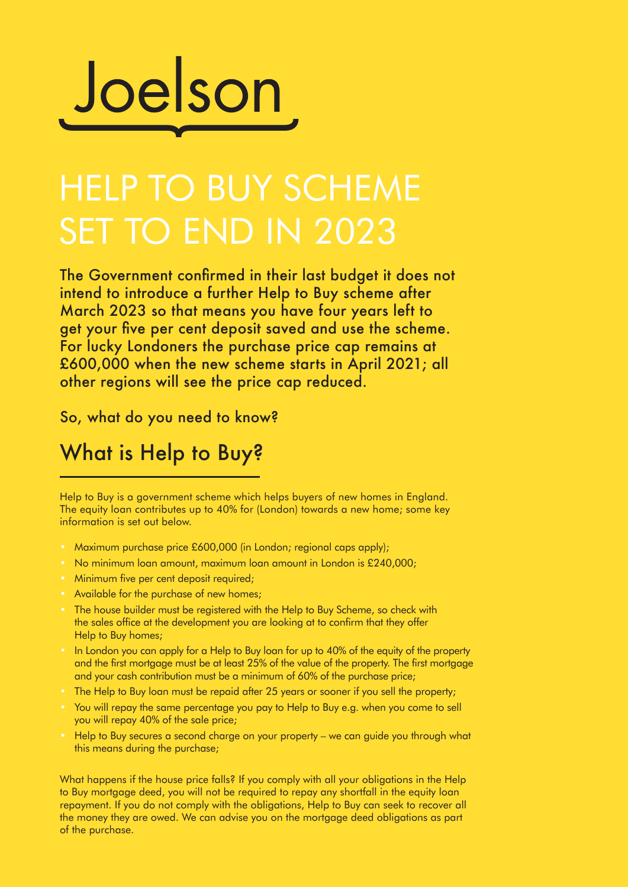

## HELP TO BUY SCHEME SET TO END IN 2023

The Government confirmed in their last budget it does not intend to introduce a further Help to Buy scheme after March 2023 so that means you have four years left to get your five per cent deposit saved and use the scheme. For lucky Londoners the purchase price cap remains at £600,000 when the new scheme starts in April 2021; all other regions will see the price cap reduced.

So, what do you need to know?

## What is Help to Buy?

Help to Buy is a government scheme which helps buyers of new homes in England. The equity loan contributes up to 40% for (London) towards a new home; some key information is set out below.

- Maximum purchase price £600,000 (in London; regional caps apply);
- No minimum loan amount, maximum loan amount in London is £240,000;
- Minimum five per cent deposit required;
- Available for the purchase of new homes;
- The house builder must be registered with the Help to Buy Scheme, so check with the sales office at the development you are looking at to confirm that they offer Help to Buy homes;
- In London you can apply for a Help to Buy loan for up to 40% of the equity of the property and the first mortgage must be at least 25% of the value of the property. The first mortgage and your cash contribution must be a minimum of 60% of the purchase price;
- The Help to Buy loan must be repaid after 25 years or sooner if you sell the property;
- You will repay the same percentage you pay to Help to Buy e.g. when you come to sell you will repay 40% of the sale price;
- Help to Buy secures a second charge on your property we can guide you through what this means during the purchase;

What happens if the house price falls? If you comply with all your obligations in the Help to Buy mortgage deed, you will not be required to repay any shortfall in the equity loan repayment. If you do not comply with the obligations, Help to Buy can seek to recover all the money they are owed. We can advise you on the mortgage deed obligations as part of the purchase.